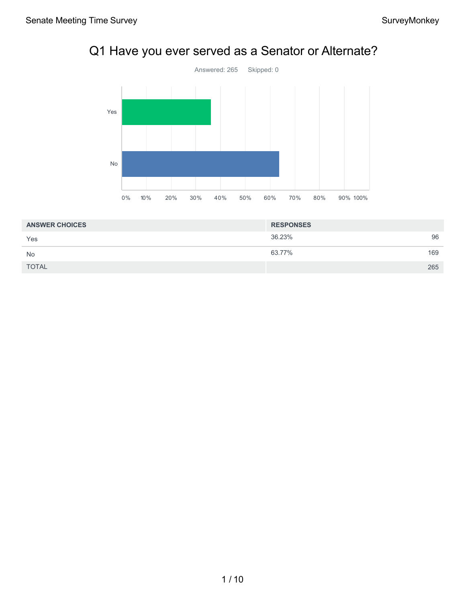# Q1 Have you ever served as a Senator or Alternate?



| <b>ANSWER CHOICES</b> | <b>RESPONSES</b> |     |
|-----------------------|------------------|-----|
| Yes                   | 36.23%           | 96  |
| <b>No</b>             | 63.77%           | 169 |
| <b>TOTAL</b>          |                  | 265 |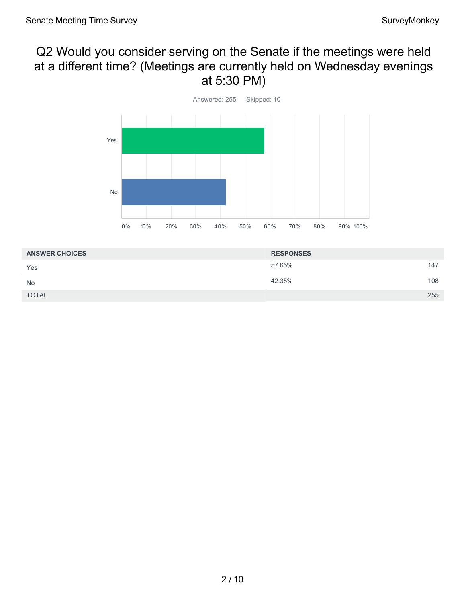### Q2 Would you consider serving on the Senate if the meetings were held at a different time? (Meetings are currently held on Wednesday evenings at 5:30 PM)



| <b>ANSWER CHOICES</b> | <b>RESPONSES</b> |     |
|-----------------------|------------------|-----|
| Yes                   | 57.65%           | 147 |
| No                    | 42.35%           | 108 |
| <b>TOTAL</b>          |                  | 255 |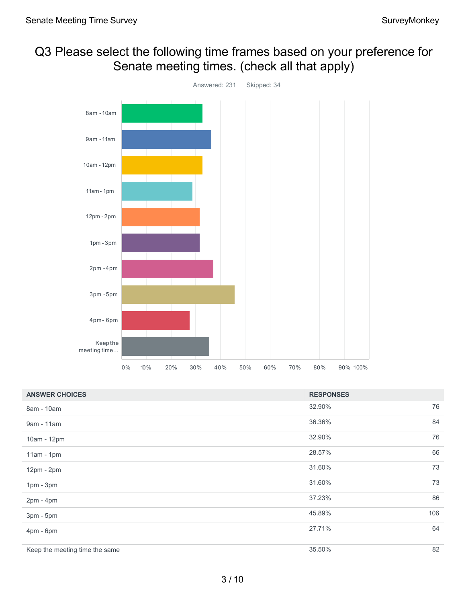### Q3 Please select the following time frames based on your preference for Senate meeting times. (check all that apply)



| <b>ANSWER CHOICES</b>          | <b>RESPONSES</b> |     |
|--------------------------------|------------------|-----|
| 8am - 10am                     | 32.90%           | 76  |
| 9am - 11am                     | 36.36%           | 84  |
| 10am - 12pm                    | 32.90%           | 76  |
| $11am - 1pm$                   | 28.57%           | 66  |
| 12pm - 2pm                     | 31.60%           | 73  |
| $1pm - 3pm$                    | 31.60%           | 73  |
| $2pm - 4pm$                    | 37.23%           | 86  |
| 3pm - 5pm                      | 45.89%           | 106 |
| 4pm - 6pm                      | 27.71%           | 64  |
| Keep the meeting time the same | 35.50%           | 82  |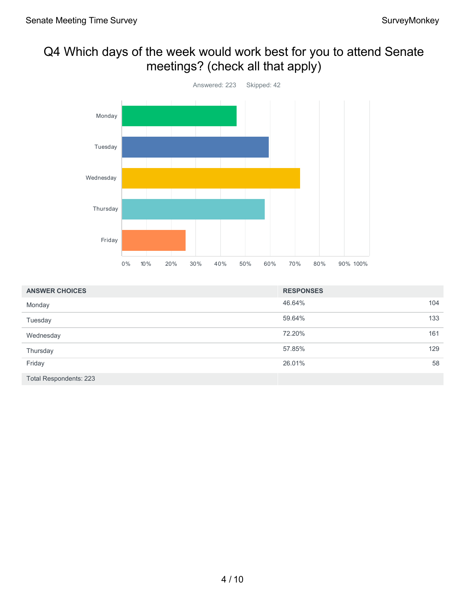## Q4 Which days of the week would work best for you to attend Senate meetings? (check all that apply)



| <b>ANSWER CHOICES</b>  | <b>RESPONSES</b> |     |
|------------------------|------------------|-----|
| Monday                 | 46.64%           | 104 |
| Tuesday                | 59.64%           | 133 |
| Wednesday              | 72.20%           | 161 |
| Thursday               | 57.85%           | 129 |
| Friday                 | 26.01%           | 58  |
| Total Respondents: 223 |                  |     |